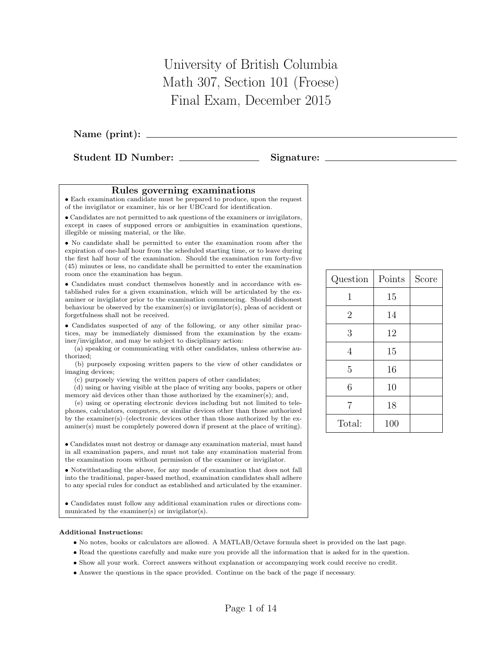University of British Columbia Math 307, Section 101 (Froese) Final Exam, December 2015

Name (print):

Student ID Number: Signature:

## Rules governing examinations

• Each examination candidate must be prepared to produce, upon the request of the invigilator or examiner, his or her UBCcard for identification.

• Candidates are not permitted to ask questions of the examiners or invigilators, except in cases of supposed errors or ambiguities in examination questions, illegible or missing material, or the like.

• No candidate shall be permitted to enter the examination room after the expiration of one-half hour from the scheduled starting time, or to leave during the first half hour of the examination. Should the examination run forty-five (45) minutes or less, no candidate shall be permitted to enter the examination room once the examination has begun.

• Candidates must conduct themselves honestly and in accordance with established rules for a given examination, which will be articulated by the examiner or invigilator prior to the examination commencing. Should dishonest behaviour be observed by the examiner(s) or invigilator(s), pleas of accident or forgetfulness shall not be received.

• Candidates suspected of any of the following, or any other similar practices, may be immediately dismissed from the examination by the examiner/invigilator, and may be subject to disciplinary action:

(a) speaking or communicating with other candidates, unless otherwise authorized;

(b) purposely exposing written papers to the view of other candidates or imaging devices;

(c) purposely viewing the written papers of other candidates;

(d) using or having visible at the place of writing any books, papers or other memory aid devices other than those authorized by the examiner(s); and,

(e) using or operating electronic devices including but not limited to telephones, calculators, computers, or similar devices other than those authorized by the examiner(s)–(electronic devices other than those authorized by the examiner(s) must be completely powered down if present at the place of writing).

• Candidates must not destroy or damage any examination material, must hand in all examination papers, and must not take any examination material from the examination room without permission of the examiner or invigilator.

• Notwithstanding the above, for any mode of examination that does not fall into the traditional, paper-based method, examination candidates shall adhere to any special rules for conduct as established and articulated by the examiner.

• Candidates must follow any additional examination rules or directions communicated by the examiner(s) or invigilator(s).

## Additional Instructions:

- No notes, books or calculators are allowed. A MATLAB/Octave formula sheet is provided on the last page.
- Read the questions carefully and make sure you provide all the information that is asked for in the question.
- Show all your work. Correct answers without explanation or accompanying work could receive no credit.
- Answer the questions in the space provided. Continue on the back of the page if necessary.

| Question       | Points | Score |
|----------------|--------|-------|
| 1              | 15     |       |
| $\overline{2}$ | 14     |       |
| 3              | 12     |       |
| 4              | 15     |       |
| 5              | 16     |       |
| 6              | 10     |       |
| $\overline{7}$ | 18     |       |
| Total:         | 100    |       |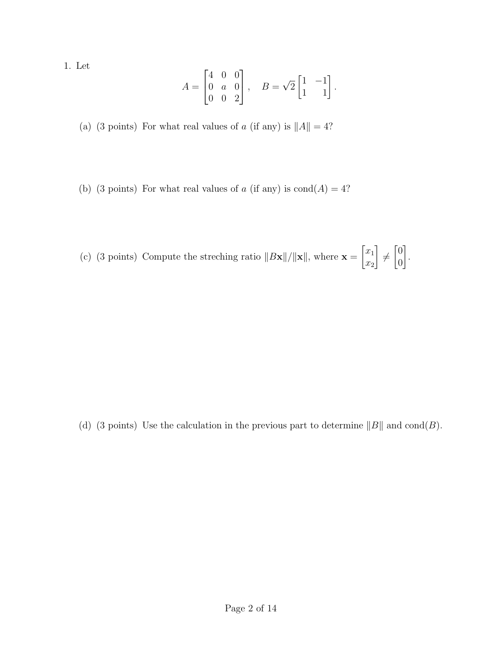1. Let

$$
A = \begin{bmatrix} 4 & 0 & 0 \\ 0 & a & 0 \\ 0 & 0 & 2 \end{bmatrix}, \quad B = \sqrt{2} \begin{bmatrix} 1 & -1 \\ 1 & 1 \end{bmatrix}.
$$

(a) (3 points) For what real values of a (if any) is  $||A|| = 4$ ?

- (b) (3 points) For what real values of  $a$  (if any) is  $\text{cond}(A) = 4$ ?
- (c) (3 points) Compute the streching ratio  $||B\mathbf{x}||/||\mathbf{x}||$ , where  $\mathbf{x} =$  $\lceil x_1 \rceil$  $\overline{x_2}$ 1  $\not=$  $\lceil 0 \rceil$ 0 1 .

(d) (3 points) Use the calculation in the previous part to determine  $||B||$  and  $\text{cond}(B)$ .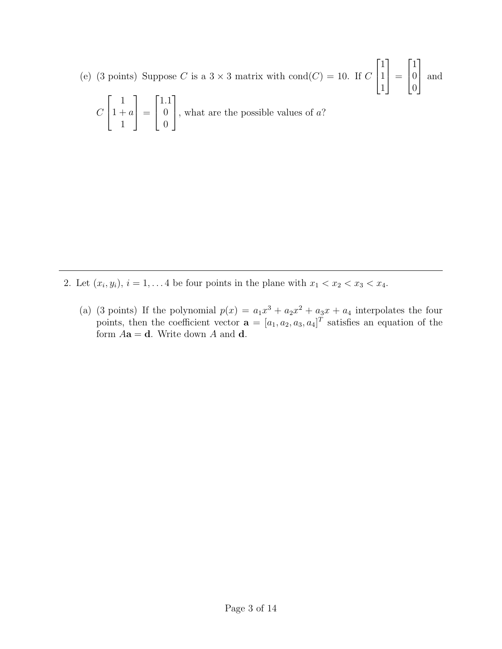(e) (3 points) Suppose C is a  $3 \times 3$  matrix with cond $(C) = 10$ . If C  $\sqrt{ }$  $\overline{1}$ 1 1 1 1  $\Big| =$  $\sqrt{ }$  $\overline{1}$ 1  $\overline{0}$ 0 1 and

$$
C\begin{bmatrix} 1 \\ 1 + a \\ 1 \end{bmatrix} = \begin{bmatrix} 1.1 \\ 0 \\ 0 \end{bmatrix}
$$
, what are the possible values of a?

- 2. Let  $(x_i, y_i)$ ,  $i = 1, \ldots 4$  be four points in the plane with  $x_1 < x_2 < x_3 < x_4$ .
	- (a) (3 points) If the polynomial  $p(x) = a_1x^3 + a_2x^2 + a_3x + a_4$  interpolates the four points, then the coefficient vector  $\mathbf{a} = [a_1, a_2, a_3, a_4]^T$  satisfies an equation of the form  $Aa = d$ . Write down A and d.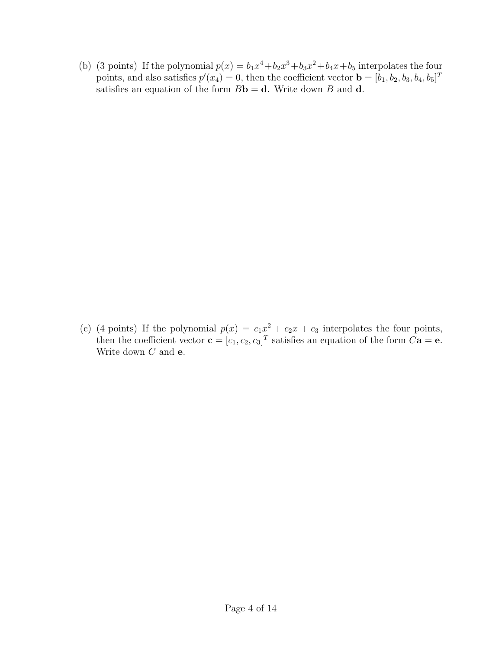(b) (3 points) If the polynomial  $p(x) = b_1x^4 + b_2x^3 + b_3x^2 + b_4x + b_5$  interpolates the four points, and also satisfies  $p'(x_4) = 0$ , then the coefficient vector  $\mathbf{b} = [b_1, b_2, b_3, b_4, b_5]^T$ satisfies an equation of the form  $B\mathbf{b} = \mathbf{d}$ . Write down B and  $\mathbf{d}$ .

(c) (4 points) If the polynomial  $p(x) = c_1x^2 + c_2x + c_3$  interpolates the four points, then the coefficient vector  $\mathbf{c} = [c_1, c_2, c_3]^T$  satisfies an equation of the form  $C\mathbf{a} = \mathbf{e}$ . Write down  $C$  and  $e$ .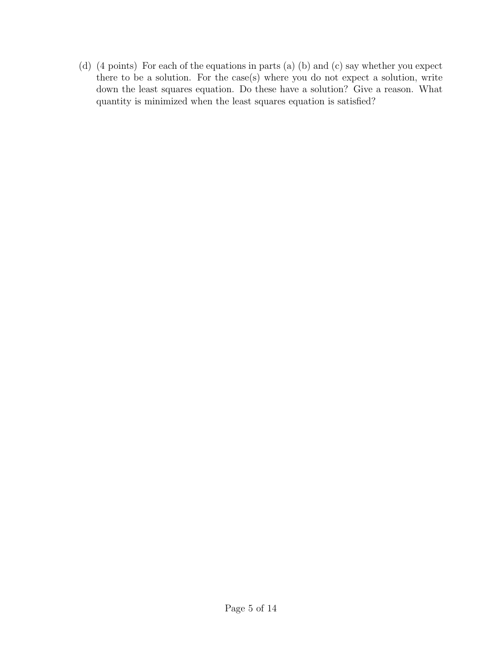(d) (4 points) For each of the equations in parts (a) (b) and (c) say whether you expect there to be a solution. For the case(s) where you do not expect a solution, write down the least squares equation. Do these have a solution? Give a reason. What quantity is minimized when the least squares equation is satisfied?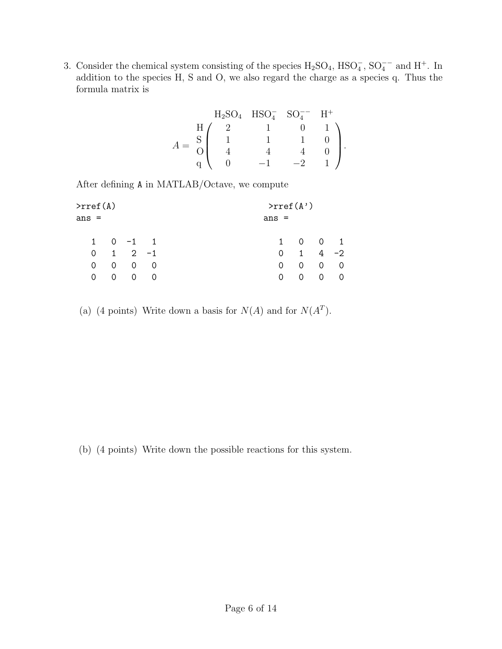3. Consider the chemical system consisting of the species  $H_2SO_4$ ,  $HSO_4^-$ ,  $SO_4^-$ <sup>-</sup> and  $H^+$ . In addition to the species H, S and O, we also regard the charge as a species q. Thus the formula matrix is

$$
A = \begin{array}{c} \n\text{H}_2\text{SO}_4 \quad \text{HSO}_4^- \quad \text{SO}_4^{--} & \text{H}^+\\ \n\text{H} & 2 & 1 & 0 & 1\\ \n\text{S} & 1 & 1 & 1 & 0\\ \n\text{I} & 1 & 1 & 1 & 0\\ \n\text{I} & 4 & 4 & 4 & 0\\ \n\text{q} & 0 & -1 & -2 & 1\n\end{array}
$$

After defining A in MATLAB/Octave, we compute

| >rref(A) |                     |                |          |         |           | $\text{S}$ >rref(A') |                     |                          |
|----------|---------------------|----------------|----------|---------|-----------|----------------------|---------------------|--------------------------|
| ans =    |                     |                |          | $ans =$ |           |                      |                     |                          |
|          | $1 \t 0 \t -1 \t 1$ |                |          |         | $1 \quad$ |                      | $0 \quad 0 \quad 1$ |                          |
| 0        |                     | $1 \t 2 \t -1$ |          |         | 0         | $\mathbf{1}$         | 4                   | $-2$                     |
| $\Omega$ | 0                   | $\Omega$       | $\Omega$ |         | 0         | 0                    | $\overline{0}$      | - 0                      |
| 0        | $\Omega$            | $\Omega$       | $\Omega$ |         | 0         | $\Omega$             | $\Omega$            | $\overline{\phantom{0}}$ |
|          |                     |                |          |         |           |                      |                     |                          |

(a) (4 points) Write down a basis for  $N(A)$  and for  $N(A<sup>T</sup>)$ .

(b) (4 points) Write down the possible reactions for this system.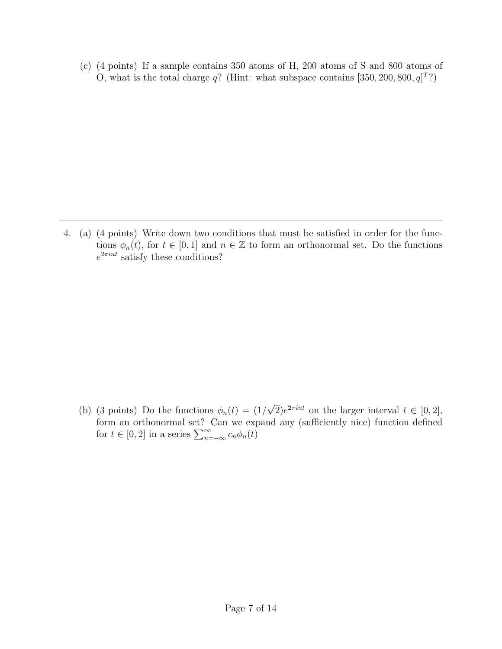(c) (4 points) If a sample contains 350 atoms of H, 200 atoms of S and 800 atoms of O, what is the total charge  $q$ ? (Hint: what subspace contains [350, 200, 800,  $q$ ]<sup>T</sup>?)

4. (a) (4 points) Write down two conditions that must be satisfied in order for the functions  $\phi_n(t)$ , for  $t \in [0,1]$  and  $n \in \mathbb{Z}$  to form an orthonormal set. Do the functions  $e^{2\pi int}$  satisfy these conditions?

(b) (3 points) Do the functions  $\phi_n(t) = (1/$ √  $\overline{2}$ ) $e^{2\pi int}$  on the larger interval  $t \in [0,2],$ form an orthonormal set? Can we expand any (sufficiently nice) function defined for  $t \in [0, 2]$  in a series  $\sum_{n=-\infty}^{\infty} c_n \phi_n(t)$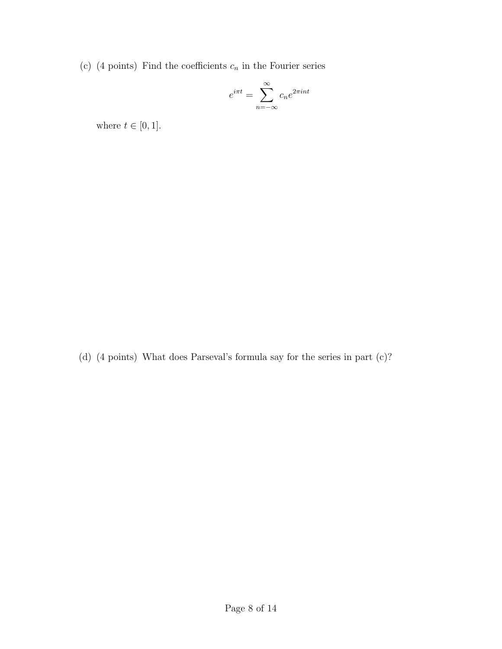(c) (4 points) Find the coefficients  $c_n$  in the Fourier series

$$
e^{i\pi t} = \sum_{n=-\infty}^{\infty} c_n e^{2\pi i nt}
$$

where  $t\in[0,1].$ 

(d) (4 points) What does Parseval's formula say for the series in part (c)?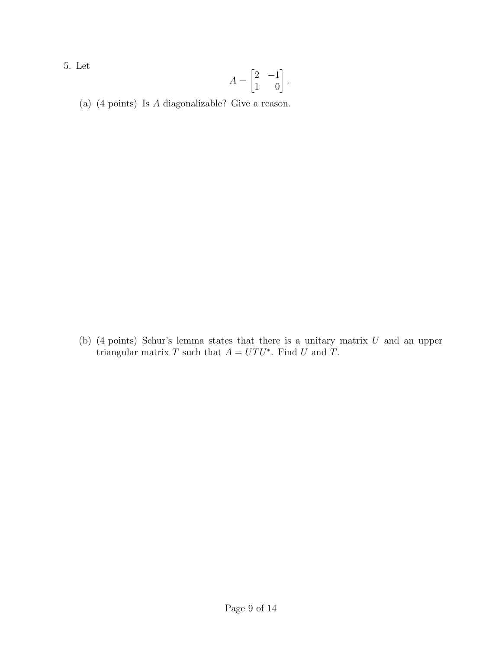5. Let

$$
A = \begin{bmatrix} 2 & -1 \\ 1 & 0 \end{bmatrix}.
$$

(a) (4 points) Is A diagonalizable? Give a reason.

(b) (4 points) Schur's lemma states that there is a unitary matrix  $U$  and an upper triangular matrix T such that  $A = UTU^*$ . Find U and T.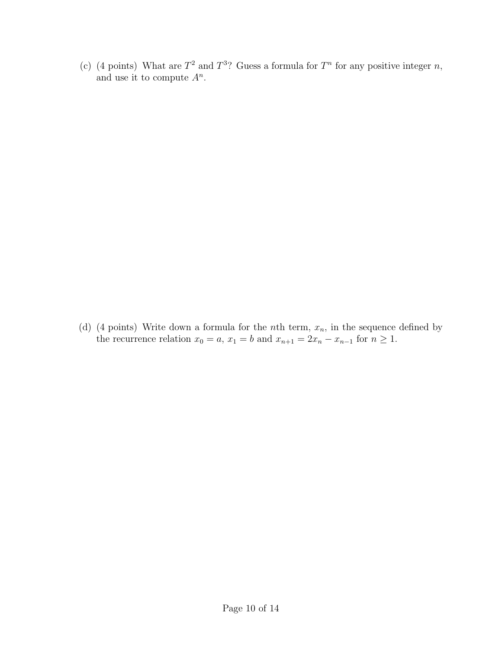(c) (4 points) What are  $T^2$  and  $T^3$ ? Guess a formula for  $T^n$  for any positive integer n, and use it to compute  $A^n$ .

(d) (4 points) Write down a formula for the *n*th term,  $x_n$ , in the sequence defined by the recurrence relation  $x_0 = a$ ,  $x_1 = b$  and  $x_{n+1} = 2x_n - x_{n-1}$  for  $n \ge 1$ .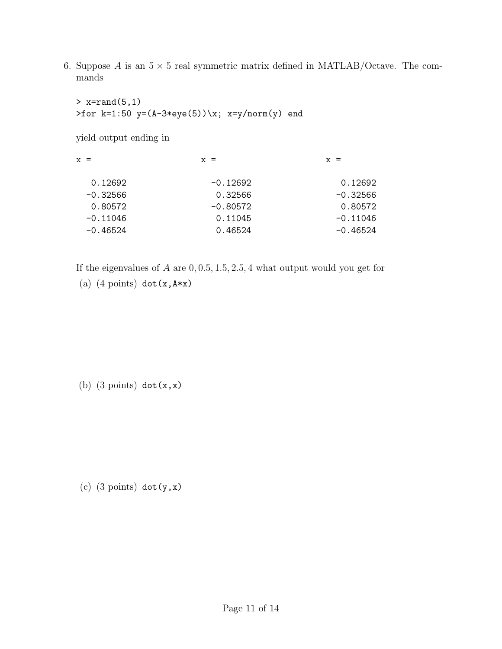6. Suppose A is an  $5 \times 5$  real symmetric matrix defined in MATLAB/Octave. The commands

 $> x=rand(5,1)$ >for k=1:50 y=(A-3\*eye(5))\x; x=y/norm(y) end

yield output ending in

| $X =$      | $X =$      | $X =$      |
|------------|------------|------------|
| 0.12692    | $-0.12692$ | 0.12692    |
| $-0.32566$ | 0.32566    | $-0.32566$ |
| 0.80572    | $-0.80572$ | 0.80572    |
| $-0.11046$ | 0.11045    | $-0.11046$ |
| $-0.46524$ | 0.46524    | $-0.46524$ |
|            |            |            |

If the eigenvalues of  $A$  are  $0, 0.5, 1.5, 2.5, 4$  what output would you get for

(a)  $(4 \text{ points}) \text{ dot}(x, A*x)$ 

(b)  $(3 \text{ points}) \text{dot}(x, x)$ 

(c)  $(3 \text{ points}) \text{dot}(y, x)$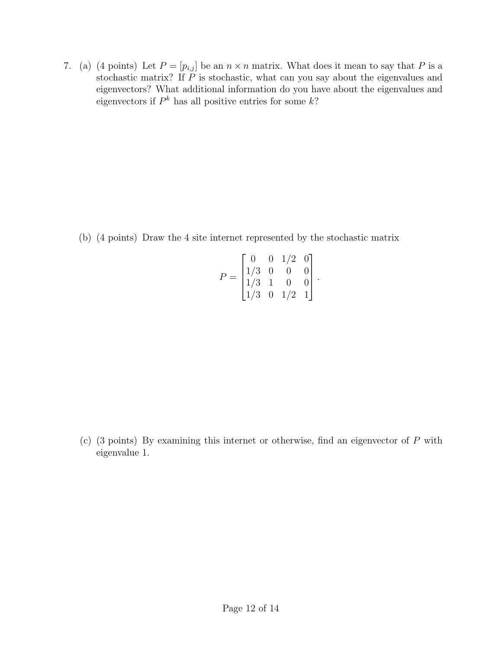7. (a) (4 points) Let  $P = [p_{i,j}]$  be an  $n \times n$  matrix. What does it mean to say that P is a stochastic matrix? If  $\tilde{P}$  is stochastic, what can you say about the eigenvalues and eigenvectors? What additional information do you have about the eigenvalues and eigenvectors if  $P^k$  has all positive entries for some  $k$ ?

(b) (4 points) Draw the 4 site internet represented by the stochastic matrix

$$
P = \begin{bmatrix} 0 & 0 & 1/2 & 0 \\ 1/3 & 0 & 0 & 0 \\ 1/3 & 1 & 0 & 0 \\ 1/3 & 0 & 1/2 & 1 \end{bmatrix}.
$$

(c) (3 points) By examining this internet or otherwise, find an eigenvector of P with eigenvalue 1.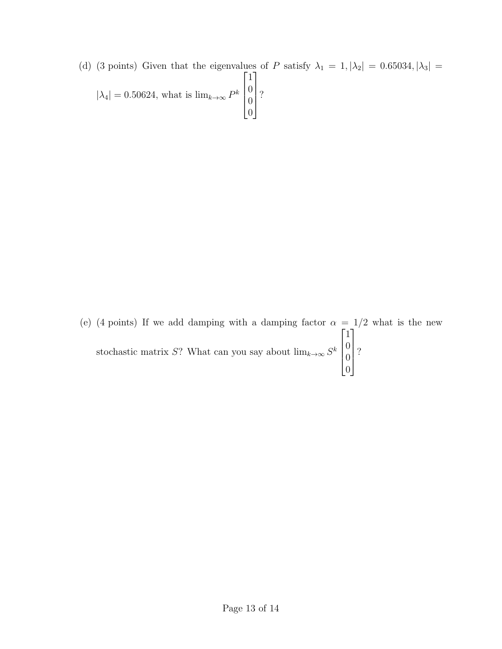(d) (3 points) Given that the eigenvalues of P satisfy  $\lambda_1 = 1, |\lambda_2| = 0.65034, |\lambda_3| =$  $|\lambda_4| = 0.50624$ , what is  $\lim_{k \to \infty} P^k$  $\sqrt{ }$  $\left| \right|$ 1 0 0 0 1  $\left| \right|$ ?

(e) (4 points) If we add damping with a damping factor  $\alpha = 1/2$  what is the new stochastic matrix S? What can you say about  $\lim_{k\to\infty} S^k$  $\sqrt{ }$  $\overline{\phantom{a}}$ 1  $\overline{0}$ 0 0 1  $\overline{\phantom{a}}$ ?